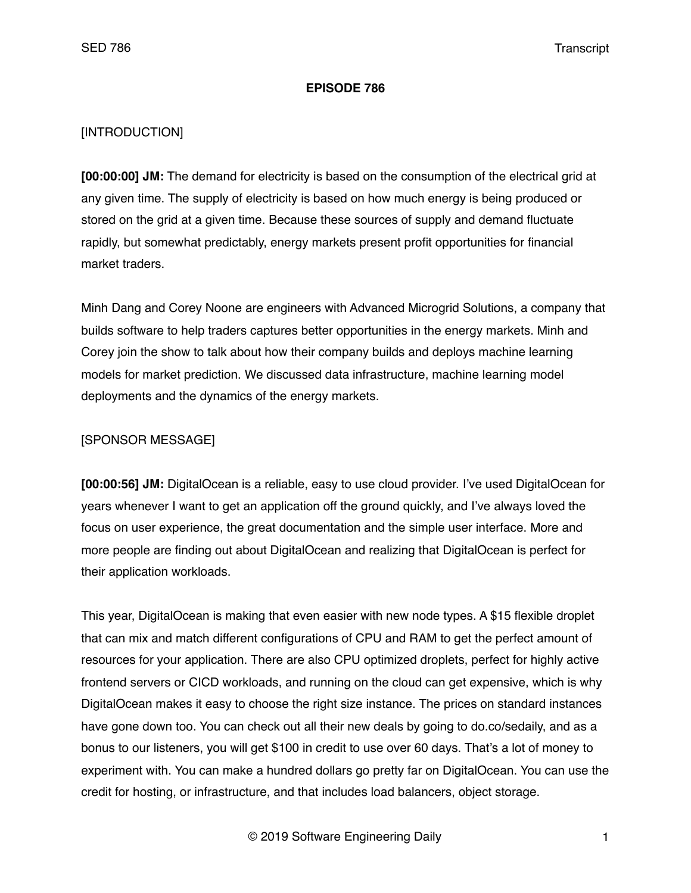#### **EPISODE 786**

## [INTRODUCTION]

**[00:00:00] JM:** The demand for electricity is based on the consumption of the electrical grid at any given time. The supply of electricity is based on how much energy is being produced or stored on the grid at a given time. Because these sources of supply and demand fluctuate rapidly, but somewhat predictably, energy markets present profit opportunities for financial market traders.

Minh Dang and Corey Noone are engineers with Advanced Microgrid Solutions, a company that builds software to help traders captures better opportunities in the energy markets. Minh and Corey join the show to talk about how their company builds and deploys machine learning models for market prediction. We discussed data infrastructure, machine learning model deployments and the dynamics of the energy markets.

#### [SPONSOR MESSAGE]

**[00:00:56] JM:** DigitalOcean is a reliable, easy to use cloud provider. I've used DigitalOcean for years whenever I want to get an application off the ground quickly, and I've always loved the focus on user experience, the great documentation and the simple user interface. More and more people are finding out about DigitalOcean and realizing that DigitalOcean is perfect for their application workloads.

This year, DigitalOcean is making that even easier with new node types. A \$15 flexible droplet that can mix and match different configurations of CPU and RAM to get the perfect amount of resources for your application. There are also CPU optimized droplets, perfect for highly active frontend servers or CICD workloads, and running on the cloud can get expensive, which is why DigitalOcean makes it easy to choose the right size instance. The prices on standard instances have gone down too. You can check out all their new deals by going to do.co/sedaily, and as a bonus to our listeners, you will get \$100 in credit to use over 60 days. That's a lot of money to experiment with. You can make a hundred dollars go pretty far on DigitalOcean. You can use the credit for hosting, or infrastructure, and that includes load balancers, object storage.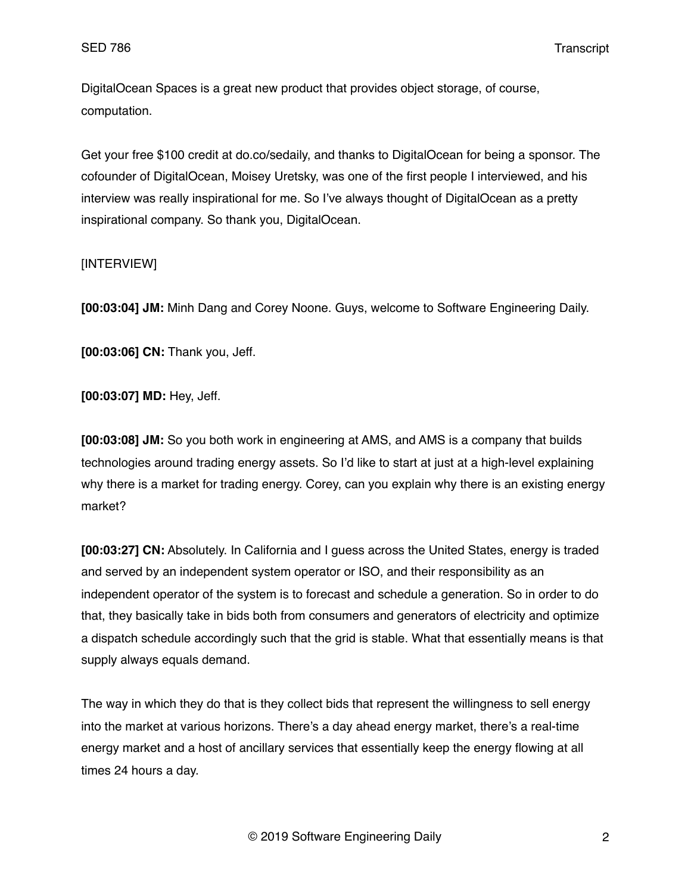DigitalOcean Spaces is a great new product that provides object storage, of course, computation.

Get your free \$100 credit at do.co/sedaily, and thanks to DigitalOcean for being a sponsor. The cofounder of DigitalOcean, Moisey Uretsky, was one of the first people I interviewed, and his interview was really inspirational for me. So I've always thought of DigitalOcean as a pretty inspirational company. So thank you, DigitalOcean.

## [INTERVIEW]

**[00:03:04] JM:** Minh Dang and Corey Noone. Guys, welcome to Software Engineering Daily.

**[00:03:06] CN:** Thank you, Jeff.

**[00:03:07] MD:** Hey, Jeff.

**[00:03:08] JM:** So you both work in engineering at AMS, and AMS is a company that builds technologies around trading energy assets. So I'd like to start at just at a high-level explaining why there is a market for trading energy. Corey, can you explain why there is an existing energy market?

**[00:03:27] CN:** Absolutely. In California and I guess across the United States, energy is traded and served by an independent system operator or ISO, and their responsibility as an independent operator of the system is to forecast and schedule a generation. So in order to do that, they basically take in bids both from consumers and generators of electricity and optimize a dispatch schedule accordingly such that the grid is stable. What that essentially means is that supply always equals demand.

The way in which they do that is they collect bids that represent the willingness to sell energy into the market at various horizons. There's a day ahead energy market, there's a real-time energy market and a host of ancillary services that essentially keep the energy flowing at all times 24 hours a day.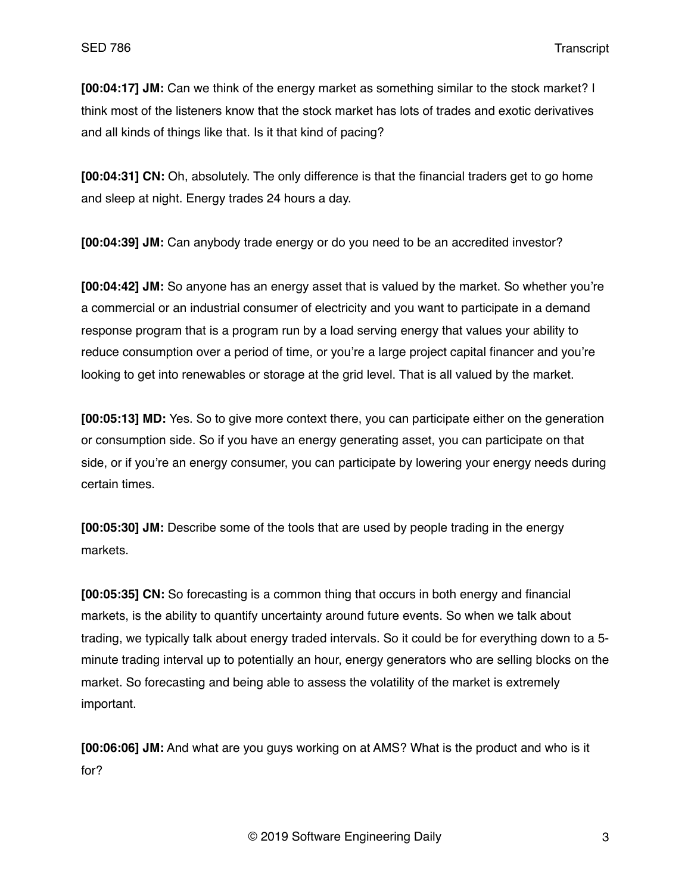**[00:04:17] JM:** Can we think of the energy market as something similar to the stock market? I think most of the listeners know that the stock market has lots of trades and exotic derivatives and all kinds of things like that. Is it that kind of pacing?

**[00:04:31] CN:** Oh, absolutely. The only difference is that the financial traders get to go home and sleep at night. Energy trades 24 hours a day.

**[00:04:39] JM:** Can anybody trade energy or do you need to be an accredited investor?

**[00:04:42] JM:** So anyone has an energy asset that is valued by the market. So whether you're a commercial or an industrial consumer of electricity and you want to participate in a demand response program that is a program run by a load serving energy that values your ability to reduce consumption over a period of time, or you're a large project capital financer and you're looking to get into renewables or storage at the grid level. That is all valued by the market.

**[00:05:13] MD:** Yes. So to give more context there, you can participate either on the generation or consumption side. So if you have an energy generating asset, you can participate on that side, or if you're an energy consumer, you can participate by lowering your energy needs during certain times.

**[00:05:30] JM:** Describe some of the tools that are used by people trading in the energy markets.

**[00:05:35] CN:** So forecasting is a common thing that occurs in both energy and financial markets, is the ability to quantify uncertainty around future events. So when we talk about trading, we typically talk about energy traded intervals. So it could be for everything down to a 5 minute trading interval up to potentially an hour, energy generators who are selling blocks on the market. So forecasting and being able to assess the volatility of the market is extremely important.

**[00:06:06] JM:** And what are you guys working on at AMS? What is the product and who is it for?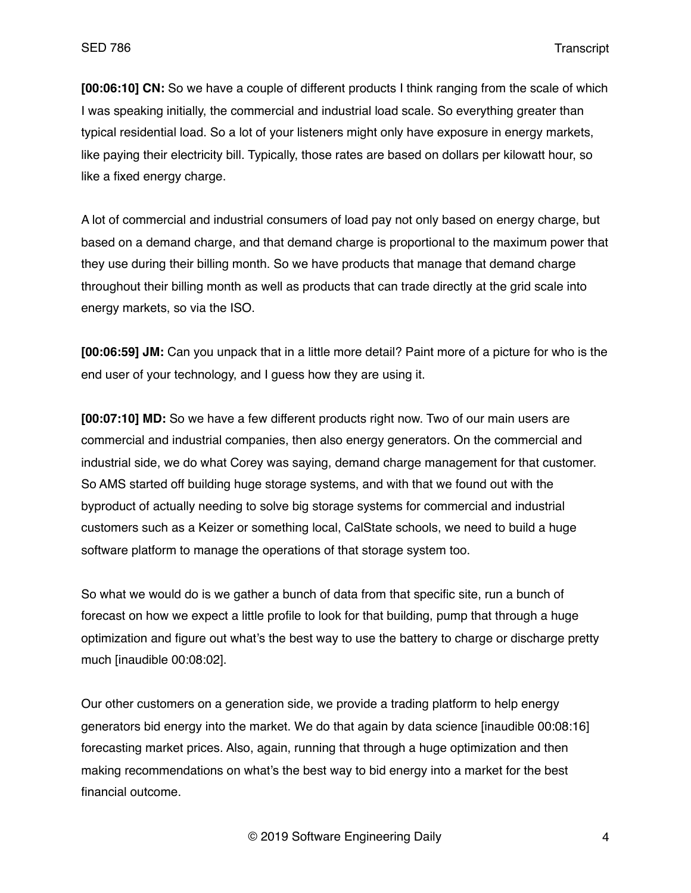**[00:06:10] CN:** So we have a couple of different products I think ranging from the scale of which I was speaking initially, the commercial and industrial load scale. So everything greater than typical residential load. So a lot of your listeners might only have exposure in energy markets, like paying their electricity bill. Typically, those rates are based on dollars per kilowatt hour, so like a fixed energy charge.

A lot of commercial and industrial consumers of load pay not only based on energy charge, but based on a demand charge, and that demand charge is proportional to the maximum power that they use during their billing month. So we have products that manage that demand charge throughout their billing month as well as products that can trade directly at the grid scale into energy markets, so via the ISO.

**[00:06:59] JM:** Can you unpack that in a little more detail? Paint more of a picture for who is the end user of your technology, and I guess how they are using it.

**[00:07:10] MD:** So we have a few different products right now. Two of our main users are commercial and industrial companies, then also energy generators. On the commercial and industrial side, we do what Corey was saying, demand charge management for that customer. So AMS started off building huge storage systems, and with that we found out with the byproduct of actually needing to solve big storage systems for commercial and industrial customers such as a Keizer or something local, CalState schools, we need to build a huge software platform to manage the operations of that storage system too.

So what we would do is we gather a bunch of data from that specific site, run a bunch of forecast on how we expect a little profile to look for that building, pump that through a huge optimization and figure out what's the best way to use the battery to charge or discharge pretty much [inaudible 00:08:02].

Our other customers on a generation side, we provide a trading platform to help energy generators bid energy into the market. We do that again by data science [inaudible 00:08:16] forecasting market prices. Also, again, running that through a huge optimization and then making recommendations on what's the best way to bid energy into a market for the best financial outcome.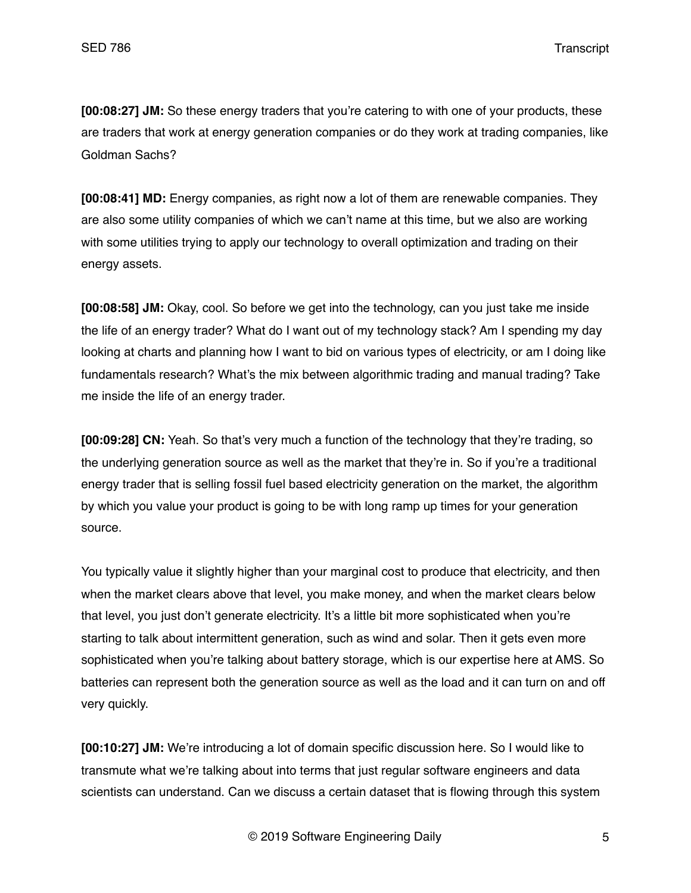**[00:08:27] JM:** So these energy traders that you're catering to with one of your products, these are traders that work at energy generation companies or do they work at trading companies, like Goldman Sachs?

**[00:08:41] MD:** Energy companies, as right now a lot of them are renewable companies. They are also some utility companies of which we can't name at this time, but we also are working with some utilities trying to apply our technology to overall optimization and trading on their energy assets.

**[00:08:58] JM:** Okay, cool. So before we get into the technology, can you just take me inside the life of an energy trader? What do I want out of my technology stack? Am I spending my day looking at charts and planning how I want to bid on various types of electricity, or am I doing like fundamentals research? What's the mix between algorithmic trading and manual trading? Take me inside the life of an energy trader.

**[00:09:28] CN:** Yeah. So that's very much a function of the technology that they're trading, so the underlying generation source as well as the market that they're in. So if you're a traditional energy trader that is selling fossil fuel based electricity generation on the market, the algorithm by which you value your product is going to be with long ramp up times for your generation source.

You typically value it slightly higher than your marginal cost to produce that electricity, and then when the market clears above that level, you make money, and when the market clears below that level, you just don't generate electricity. It's a little bit more sophisticated when you're starting to talk about intermittent generation, such as wind and solar. Then it gets even more sophisticated when you're talking about battery storage, which is our expertise here at AMS. So batteries can represent both the generation source as well as the load and it can turn on and off very quickly.

**[00:10:27] JM:** We're introducing a lot of domain specific discussion here. So I would like to transmute what we're talking about into terms that just regular software engineers and data scientists can understand. Can we discuss a certain dataset that is flowing through this system

© 2019 Software Engineering Daily 5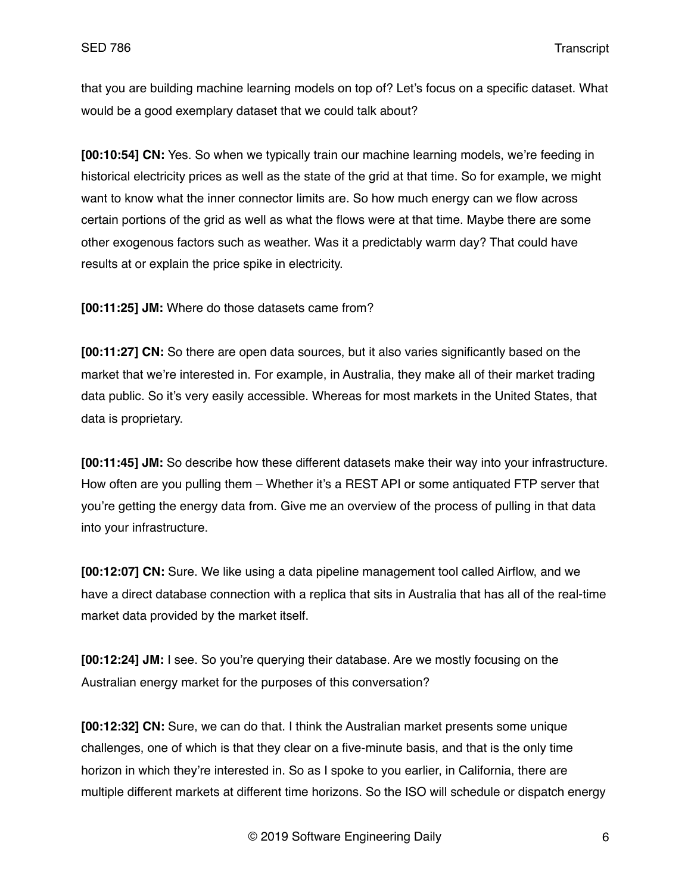that you are building machine learning models on top of? Let's focus on a specific dataset. What would be a good exemplary dataset that we could talk about?

**[00:10:54] CN:** Yes. So when we typically train our machine learning models, we're feeding in historical electricity prices as well as the state of the grid at that time. So for example, we might want to know what the inner connector limits are. So how much energy can we flow across certain portions of the grid as well as what the flows were at that time. Maybe there are some other exogenous factors such as weather. Was it a predictably warm day? That could have results at or explain the price spike in electricity.

**[00:11:25] JM:** Where do those datasets came from?

**[00:11:27] CN:** So there are open data sources, but it also varies significantly based on the market that we're interested in. For example, in Australia, they make all of their market trading data public. So it's very easily accessible. Whereas for most markets in the United States, that data is proprietary.

**[00:11:45] JM:** So describe how these different datasets make their way into your infrastructure. How often are you pulling them – Whether it's a REST API or some antiquated FTP server that you're getting the energy data from. Give me an overview of the process of pulling in that data into your infrastructure.

**[00:12:07] CN:** Sure. We like using a data pipeline management tool called Airflow, and we have a direct database connection with a replica that sits in Australia that has all of the real-time market data provided by the market itself.

**[00:12:24] JM:** I see. So you're querying their database. Are we mostly focusing on the Australian energy market for the purposes of this conversation?

**[00:12:32] CN:** Sure, we can do that. I think the Australian market presents some unique challenges, one of which is that they clear on a five-minute basis, and that is the only time horizon in which they're interested in. So as I spoke to you earlier, in California, there are multiple different markets at different time horizons. So the ISO will schedule or dispatch energy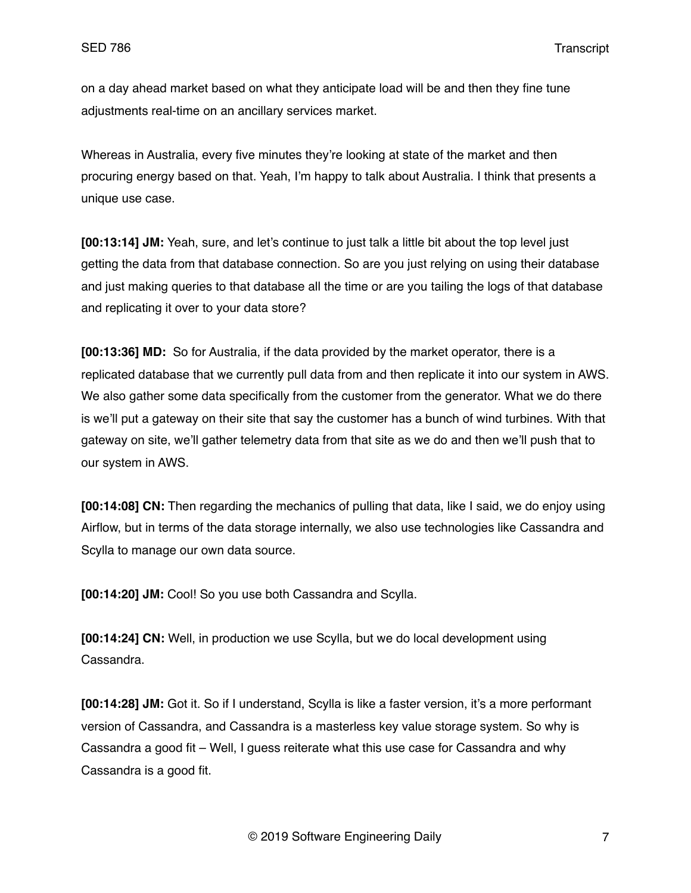on a day ahead market based on what they anticipate load will be and then they fine tune adjustments real-time on an ancillary services market.

Whereas in Australia, every five minutes they're looking at state of the market and then procuring energy based on that. Yeah, I'm happy to talk about Australia. I think that presents a unique use case.

**[00:13:14] JM:** Yeah, sure, and let's continue to just talk a little bit about the top level just getting the data from that database connection. So are you just relying on using their database and just making queries to that database all the time or are you tailing the logs of that database and replicating it over to your data store?

**[00:13:36] MD:** So for Australia, if the data provided by the market operator, there is a replicated database that we currently pull data from and then replicate it into our system in AWS. We also gather some data specifically from the customer from the generator. What we do there is we'll put a gateway on their site that say the customer has a bunch of wind turbines. With that gateway on site, we'll gather telemetry data from that site as we do and then we'll push that to our system in AWS.

**[00:14:08] CN:** Then regarding the mechanics of pulling that data, like I said, we do enjoy using Airflow, but in terms of the data storage internally, we also use technologies like Cassandra and Scylla to manage our own data source.

**[00:14:20] JM:** Cool! So you use both Cassandra and Scylla.

**[00:14:24] CN:** Well, in production we use Scylla, but we do local development using Cassandra.

**[00:14:28] JM:** Got it. So if I understand, Scylla is like a faster version, it's a more performant version of Cassandra, and Cassandra is a masterless key value storage system. So why is Cassandra a good fit – Well, I guess reiterate what this use case for Cassandra and why Cassandra is a good fit.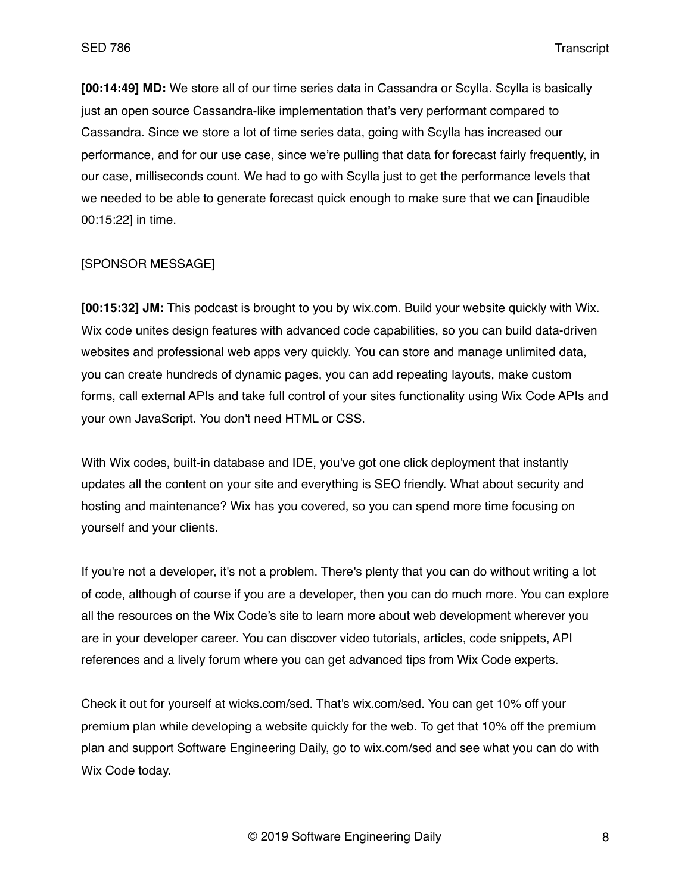**[00:14:49] MD:** We store all of our time series data in Cassandra or Scylla. Scylla is basically just an open source Cassandra-like implementation that's very performant compared to Cassandra. Since we store a lot of time series data, going with Scylla has increased our performance, and for our use case, since we're pulling that data for forecast fairly frequently, in our case, milliseconds count. We had to go with Scylla just to get the performance levels that we needed to be able to generate forecast quick enough to make sure that we can [inaudible 00:15:22] in time.

## [SPONSOR MESSAGE]

**[00:15:32] JM:** This podcast is brought to you by wix.com. Build your website quickly with Wix. Wix code unites design features with advanced code capabilities, so you can build data-driven websites and professional web apps very quickly. You can store and manage unlimited data, you can create hundreds of dynamic pages, you can add repeating layouts, make custom forms, call external APIs and take full control of your sites functionality using Wix Code APIs and your own JavaScript. You don't need HTML or CSS.

With Wix codes, built-in database and IDE, you've got one click deployment that instantly updates all the content on your site and everything is SEO friendly. What about security and hosting and maintenance? Wix has you covered, so you can spend more time focusing on yourself and your clients.

If you're not a developer, it's not a problem. There's plenty that you can do without writing a lot of code, although of course if you are a developer, then you can do much more. You can explore all the resources on the Wix Code's site to learn more about web development wherever you are in your developer career. You can discover video tutorials, articles, code snippets, API references and a lively forum where you can get advanced tips from Wix Code experts.

Check it out for yourself at wicks.com/sed. That's wix.com/sed. You can get 10% off your premium plan while developing a website quickly for the web. To get that 10% off the premium plan and support Software Engineering Daily, go to wix.com/sed and see what you can do with Wix Code today.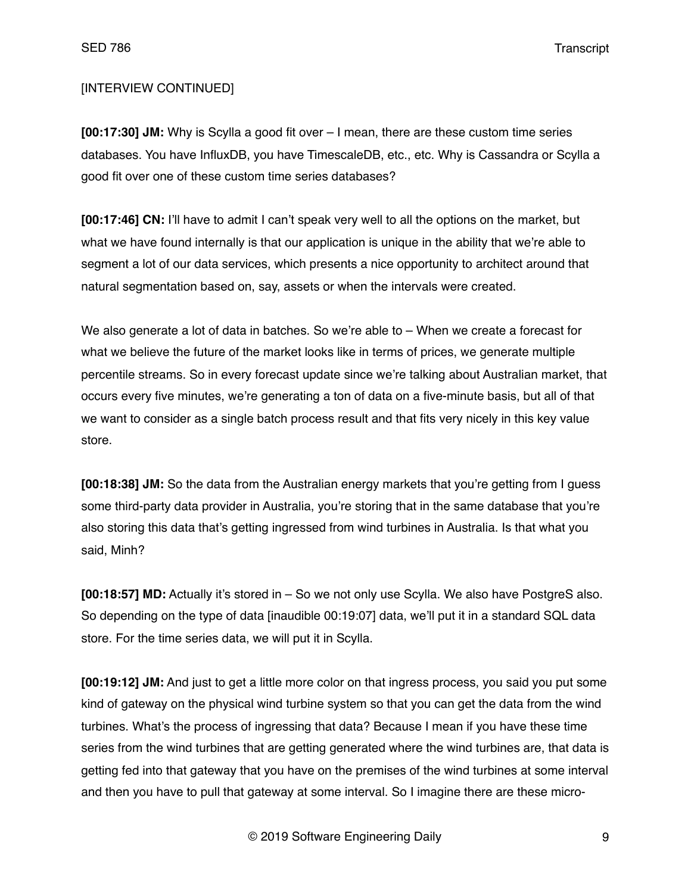# [INTERVIEW CONTINUED]

**[00:17:30] JM:** Why is Scylla a good fit over – I mean, there are these custom time series databases. You have InfluxDB, you have TimescaleDB, etc., etc. Why is Cassandra or Scylla a good fit over one of these custom time series databases?

**[00:17:46] CN:** I'll have to admit I can't speak very well to all the options on the market, but what we have found internally is that our application is unique in the ability that we're able to segment a lot of our data services, which presents a nice opportunity to architect around that natural segmentation based on, say, assets or when the intervals were created.

We also generate a lot of data in batches. So we're able to – When we create a forecast for what we believe the future of the market looks like in terms of prices, we generate multiple percentile streams. So in every forecast update since we're talking about Australian market, that occurs every five minutes, we're generating a ton of data on a five-minute basis, but all of that we want to consider as a single batch process result and that fits very nicely in this key value store.

**[00:18:38] JM:** So the data from the Australian energy markets that you're getting from I guess some third-party data provider in Australia, you're storing that in the same database that you're also storing this data that's getting ingressed from wind turbines in Australia. Is that what you said, Minh?

**[00:18:57] MD:** Actually it's stored in – So we not only use Scylla. We also have PostgreS also. So depending on the type of data [inaudible 00:19:07] data, we'll put it in a standard SQL data store. For the time series data, we will put it in Scylla.

**[00:19:12] JM:** And just to get a little more color on that ingress process, you said you put some kind of gateway on the physical wind turbine system so that you can get the data from the wind turbines. What's the process of ingressing that data? Because I mean if you have these time series from the wind turbines that are getting generated where the wind turbines are, that data is getting fed into that gateway that you have on the premises of the wind turbines at some interval and then you have to pull that gateway at some interval. So I imagine there are these micro-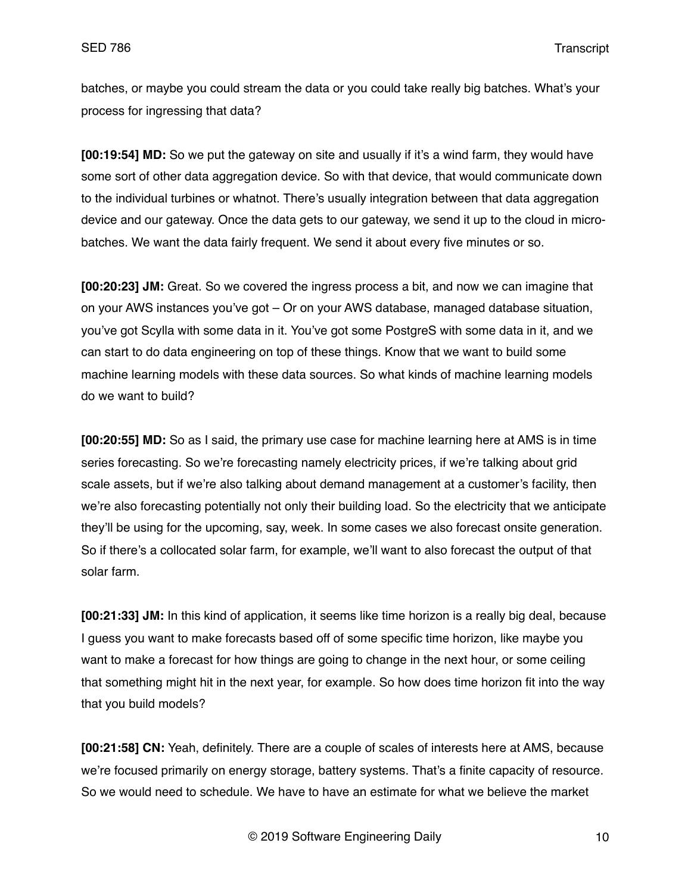batches, or maybe you could stream the data or you could take really big batches. What's your process for ingressing that data?

**[00:19:54] MD:** So we put the gateway on site and usually if it's a wind farm, they would have some sort of other data aggregation device. So with that device, that would communicate down to the individual turbines or whatnot. There's usually integration between that data aggregation device and our gateway. Once the data gets to our gateway, we send it up to the cloud in microbatches. We want the data fairly frequent. We send it about every five minutes or so.

**[00:20:23] JM:** Great. So we covered the ingress process a bit, and now we can imagine that on your AWS instances you've got – Or on your AWS database, managed database situation, you've got Scylla with some data in it. You've got some PostgreS with some data in it, and we can start to do data engineering on top of these things. Know that we want to build some machine learning models with these data sources. So what kinds of machine learning models do we want to build?

**[00:20:55] MD:** So as I said, the primary use case for machine learning here at AMS is in time series forecasting. So we're forecasting namely electricity prices, if we're talking about grid scale assets, but if we're also talking about demand management at a customer's facility, then we're also forecasting potentially not only their building load. So the electricity that we anticipate they'll be using for the upcoming, say, week. In some cases we also forecast onsite generation. So if there's a collocated solar farm, for example, we'll want to also forecast the output of that solar farm.

**[00:21:33] JM:** In this kind of application, it seems like time horizon is a really big deal, because I guess you want to make forecasts based off of some specific time horizon, like maybe you want to make a forecast for how things are going to change in the next hour, or some ceiling that something might hit in the next year, for example. So how does time horizon fit into the way that you build models?

**[00:21:58] CN:** Yeah, definitely. There are a couple of scales of interests here at AMS, because we're focused primarily on energy storage, battery systems. That's a finite capacity of resource. So we would need to schedule. We have to have an estimate for what we believe the market

© 2019 Software Engineering Daily 10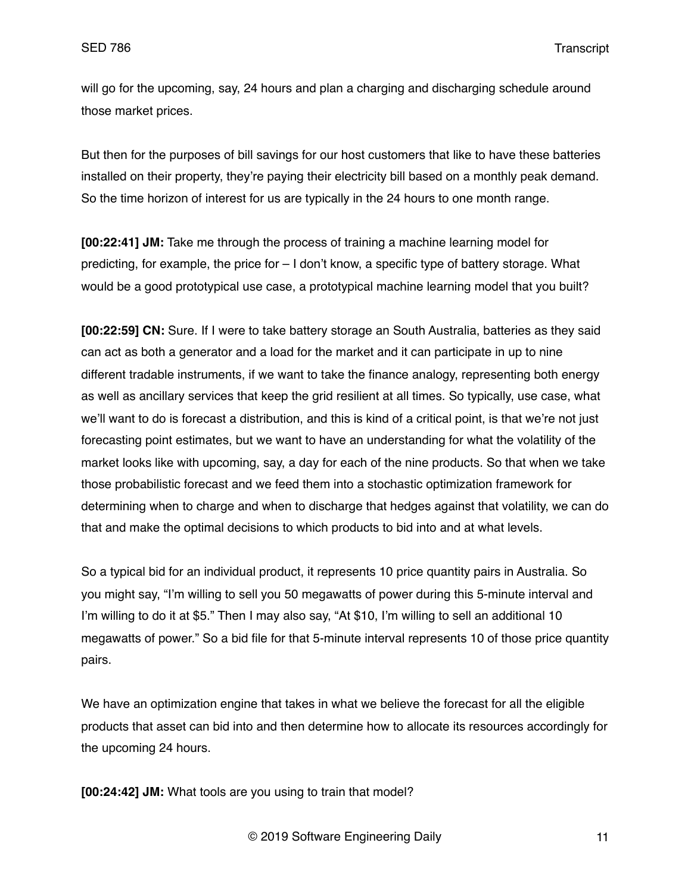will go for the upcoming, say, 24 hours and plan a charging and discharging schedule around those market prices.

But then for the purposes of bill savings for our host customers that like to have these batteries installed on their property, they're paying their electricity bill based on a monthly peak demand. So the time horizon of interest for us are typically in the 24 hours to one month range.

**[00:22:41] JM:** Take me through the process of training a machine learning model for predicting, for example, the price for – I don't know, a specific type of battery storage. What would be a good prototypical use case, a prototypical machine learning model that you built?

**[00:22:59] CN:** Sure. If I were to take battery storage an South Australia, batteries as they said can act as both a generator and a load for the market and it can participate in up to nine different tradable instruments, if we want to take the finance analogy, representing both energy as well as ancillary services that keep the grid resilient at all times. So typically, use case, what we'll want to do is forecast a distribution, and this is kind of a critical point, is that we're not just forecasting point estimates, but we want to have an understanding for what the volatility of the market looks like with upcoming, say, a day for each of the nine products. So that when we take those probabilistic forecast and we feed them into a stochastic optimization framework for determining when to charge and when to discharge that hedges against that volatility, we can do that and make the optimal decisions to which products to bid into and at what levels.

So a typical bid for an individual product, it represents 10 price quantity pairs in Australia. So you might say, "I'm willing to sell you 50 megawatts of power during this 5-minute interval and I'm willing to do it at \$5." Then I may also say, "At \$10, I'm willing to sell an additional 10 megawatts of power." So a bid file for that 5-minute interval represents 10 of those price quantity pairs.

We have an optimization engine that takes in what we believe the forecast for all the eligible products that asset can bid into and then determine how to allocate its resources accordingly for the upcoming 24 hours.

**[00:24:42] JM:** What tools are you using to train that model?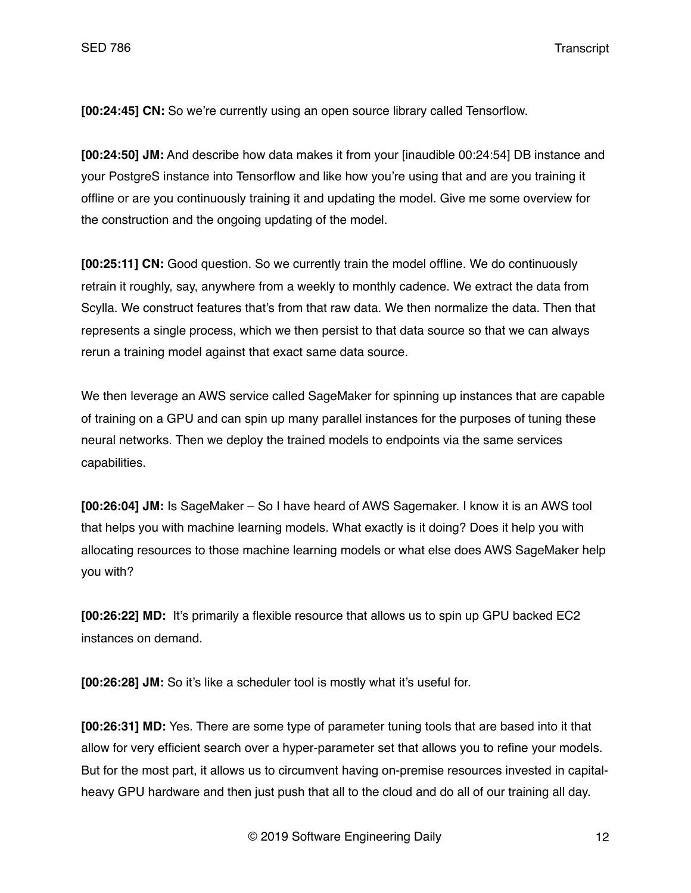**[00:24:45] CN:** So we're currently using an open source library called Tensorflow.

**[00:24:50] JM:** And describe how data makes it from your [inaudible 00:24:54] DB instance and your PostgreS instance into Tensorflow and like how you're using that and are you training it offline or are you continuously training it and updating the model. Give me some overview for the construction and the ongoing updating of the model.

**[00:25:11] CN:** Good question. So we currently train the model offline. We do continuously retrain it roughly, say, anywhere from a weekly to monthly cadence. We extract the data from Scylla. We construct features that's from that raw data. We then normalize the data. Then that represents a single process, which we then persist to that data source so that we can always rerun a training model against that exact same data source.

We then leverage an AWS service called SageMaker for spinning up instances that are capable of training on a GPU and can spin up many parallel instances for the purposes of tuning these neural networks. Then we deploy the trained models to endpoints via the same services capabilities.

**[00:26:04] JM:** Is SageMaker – So I have heard of AWS Sagemaker. I know it is an AWS tool that helps you with machine learning models. What exactly is it doing? Does it help you with allocating resources to those machine learning models or what else does AWS SageMaker help you with?

**[00:26:22] MD:** It's primarily a flexible resource that allows us to spin up GPU backed EC2 instances on demand.

**[00:26:28] JM:** So it's like a scheduler tool is mostly what it's useful for.

**[00:26:31] MD:** Yes. There are some type of parameter tuning tools that are based into it that allow for very efficient search over a hyper-parameter set that allows you to refine your models. But for the most part, it allows us to circumvent having on-premise resources invested in capitalheavy GPU hardware and then just push that all to the cloud and do all of our training all day.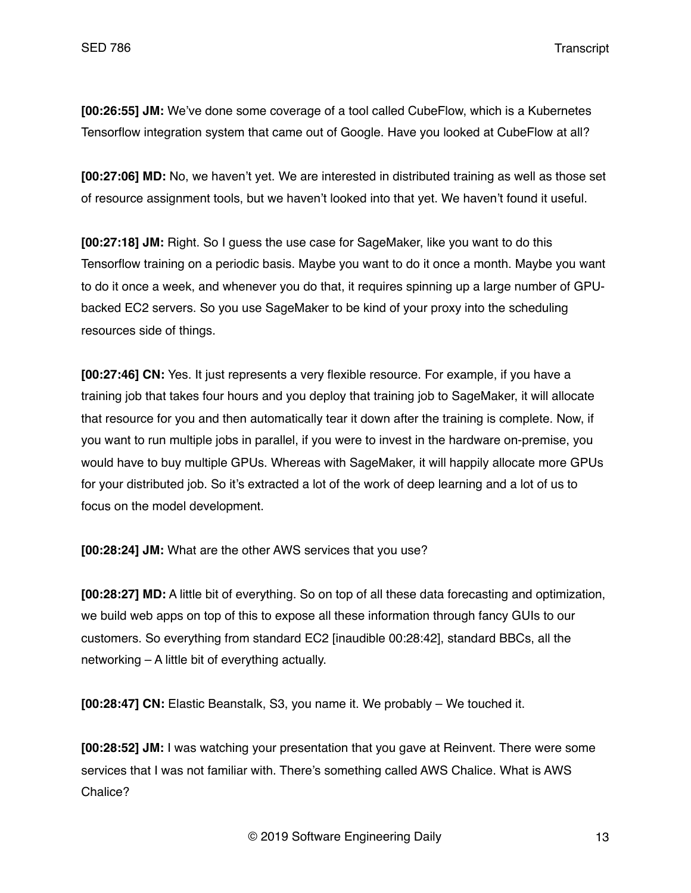**[00:26:55] JM:** We've done some coverage of a tool called CubeFlow, which is a Kubernetes Tensorflow integration system that came out of Google. Have you looked at CubeFlow at all?

**[00:27:06] MD:** No, we haven't yet. We are interested in distributed training as well as those set of resource assignment tools, but we haven't looked into that yet. We haven't found it useful.

**[00:27:18] JM:** Right. So I guess the use case for SageMaker, like you want to do this Tensorflow training on a periodic basis. Maybe you want to do it once a month. Maybe you want to do it once a week, and whenever you do that, it requires spinning up a large number of GPUbacked EC2 servers. So you use SageMaker to be kind of your proxy into the scheduling resources side of things.

**[00:27:46] CN:** Yes. It just represents a very flexible resource. For example, if you have a training job that takes four hours and you deploy that training job to SageMaker, it will allocate that resource for you and then automatically tear it down after the training is complete. Now, if you want to run multiple jobs in parallel, if you were to invest in the hardware on-premise, you would have to buy multiple GPUs. Whereas with SageMaker, it will happily allocate more GPUs for your distributed job. So it's extracted a lot of the work of deep learning and a lot of us to focus on the model development.

**[00:28:24] JM:** What are the other AWS services that you use?

**[00:28:27] MD:** A little bit of everything. So on top of all these data forecasting and optimization, we build web apps on top of this to expose all these information through fancy GUIs to our customers. So everything from standard EC2 [inaudible 00:28:42], standard BBCs, all the networking – A little bit of everything actually.

**[00:28:47] CN:** Elastic Beanstalk, S3, you name it. We probably – We touched it.

**[00:28:52] JM:** I was watching your presentation that you gave at Reinvent. There were some services that I was not familiar with. There's something called AWS Chalice. What is AWS Chalice?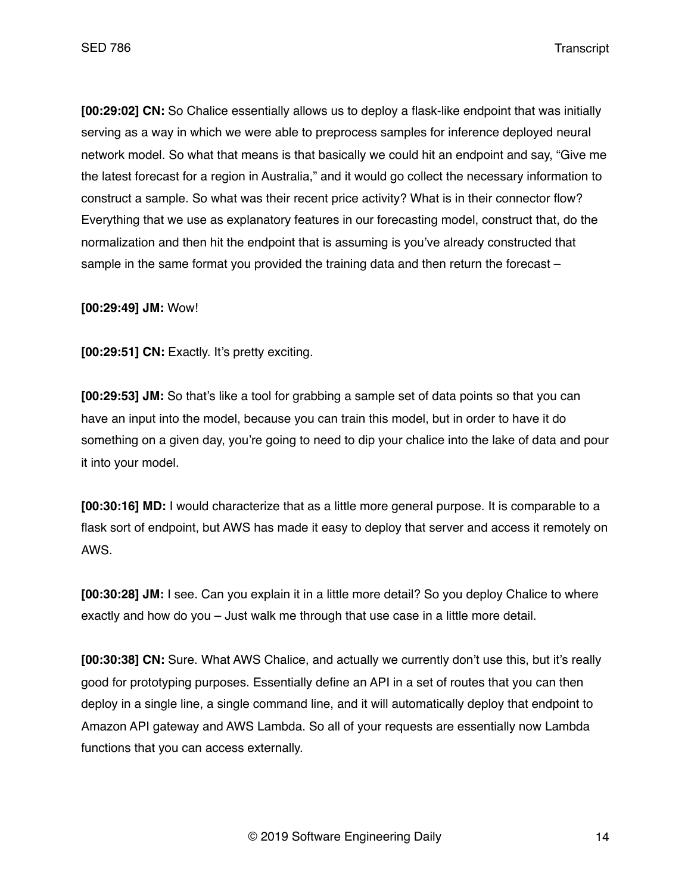**[00:29:02] CN:** So Chalice essentially allows us to deploy a flask-like endpoint that was initially serving as a way in which we were able to preprocess samples for inference deployed neural network model. So what that means is that basically we could hit an endpoint and say, "Give me the latest forecast for a region in Australia," and it would go collect the necessary information to construct a sample. So what was their recent price activity? What is in their connector flow? Everything that we use as explanatory features in our forecasting model, construct that, do the normalization and then hit the endpoint that is assuming is you've already constructed that sample in the same format you provided the training data and then return the forecast –

**[00:29:49] JM:** Wow!

**[00:29:51] CN:** Exactly. It's pretty exciting.

**[00:29:53] JM:** So that's like a tool for grabbing a sample set of data points so that you can have an input into the model, because you can train this model, but in order to have it do something on a given day, you're going to need to dip your chalice into the lake of data and pour it into your model.

**[00:30:16] MD:** I would characterize that as a little more general purpose. It is comparable to a flask sort of endpoint, but AWS has made it easy to deploy that server and access it remotely on AWS.

**[00:30:28] JM:** I see. Can you explain it in a little more detail? So you deploy Chalice to where exactly and how do you – Just walk me through that use case in a little more detail.

**[00:30:38] CN:** Sure. What AWS Chalice, and actually we currently don't use this, but it's really good for prototyping purposes. Essentially define an API in a set of routes that you can then deploy in a single line, a single command line, and it will automatically deploy that endpoint to Amazon API gateway and AWS Lambda. So all of your requests are essentially now Lambda functions that you can access externally.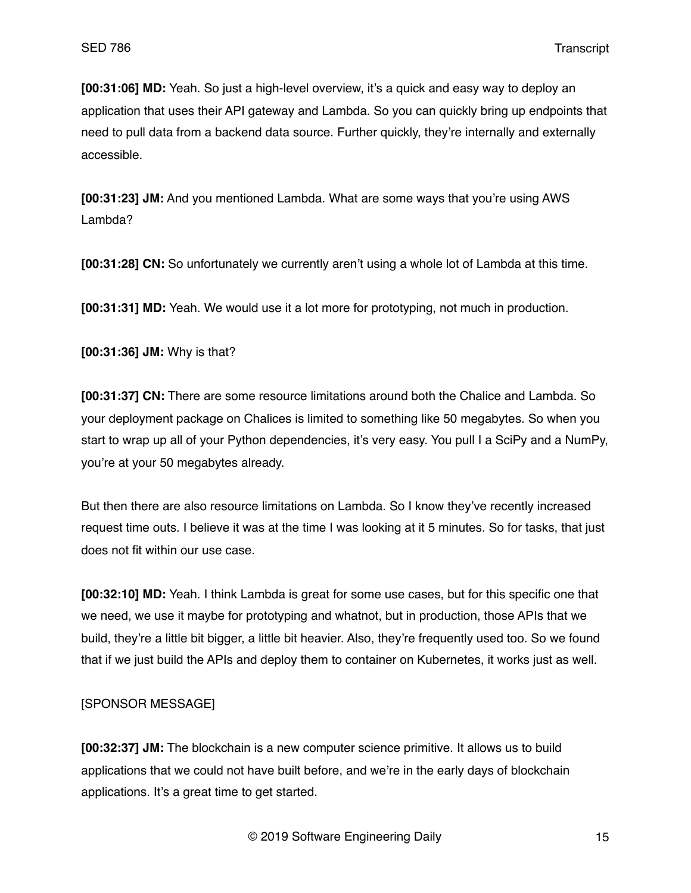**[00:31:06] MD:** Yeah. So just a high-level overview, it's a quick and easy way to deploy an application that uses their API gateway and Lambda. So you can quickly bring up endpoints that need to pull data from a backend data source. Further quickly, they're internally and externally accessible.

**[00:31:23] JM:** And you mentioned Lambda. What are some ways that you're using AWS Lambda?

**[00:31:28] CN:** So unfortunately we currently aren't using a whole lot of Lambda at this time.

**[00:31:31] MD:** Yeah. We would use it a lot more for prototyping, not much in production.

**[00:31:36] JM:** Why is that?

**[00:31:37] CN:** There are some resource limitations around both the Chalice and Lambda. So your deployment package on Chalices is limited to something like 50 megabytes. So when you start to wrap up all of your Python dependencies, it's very easy. You pull I a SciPy and a NumPy, you're at your 50 megabytes already.

But then there are also resource limitations on Lambda. So I know they've recently increased request time outs. I believe it was at the time I was looking at it 5 minutes. So for tasks, that just does not fit within our use case.

**[00:32:10] MD:** Yeah. I think Lambda is great for some use cases, but for this specific one that we need, we use it maybe for prototyping and whatnot, but in production, those APIs that we build, they're a little bit bigger, a little bit heavier. Also, they're frequently used too. So we found that if we just build the APIs and deploy them to container on Kubernetes, it works just as well.

## [SPONSOR MESSAGE]

**[00:32:37] JM:** The blockchain is a new computer science primitive. It allows us to build applications that we could not have built before, and we're in the early days of blockchain applications. It's a great time to get started.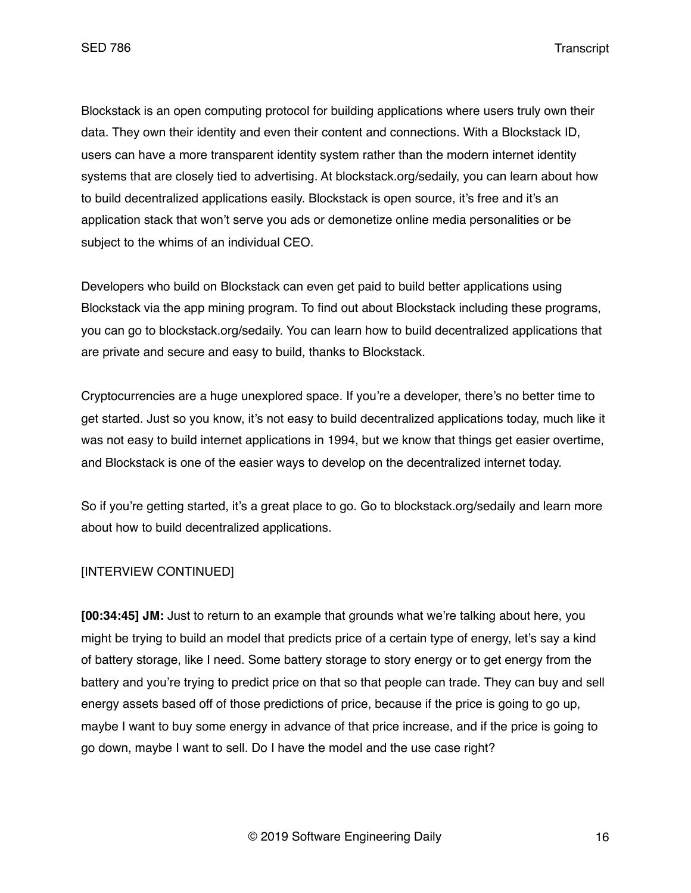Blockstack is an open computing protocol for building applications where users truly own their data. They own their identity and even their content and connections. With a Blockstack ID, users can have a more transparent identity system rather than the modern internet identity systems that are closely tied to advertising. At blockstack.org/sedaily, you can learn about how to build decentralized applications easily. Blockstack is open source, it's free and it's an application stack that won't serve you ads or demonetize online media personalities or be subject to the whims of an individual CEO.

Developers who build on Blockstack can even get paid to build better applications using Blockstack via the app mining program. To find out about Blockstack including these programs, you can go to blockstack.org/sedaily. You can learn how to build decentralized applications that are private and secure and easy to build, thanks to Blockstack.

Cryptocurrencies are a huge unexplored space. If you're a developer, there's no better time to get started. Just so you know, it's not easy to build decentralized applications today, much like it was not easy to build internet applications in 1994, but we know that things get easier overtime, and Blockstack is one of the easier ways to develop on the decentralized internet today.

So if you're getting started, it's a great place to go. Go to blockstack.org/sedaily and learn more about how to build decentralized applications.

## [INTERVIEW CONTINUED]

**[00:34:45] JM:** Just to return to an example that grounds what we're talking about here, you might be trying to build an model that predicts price of a certain type of energy, let's say a kind of battery storage, like I need. Some battery storage to story energy or to get energy from the battery and you're trying to predict price on that so that people can trade. They can buy and sell energy assets based off of those predictions of price, because if the price is going to go up, maybe I want to buy some energy in advance of that price increase, and if the price is going to go down, maybe I want to sell. Do I have the model and the use case right?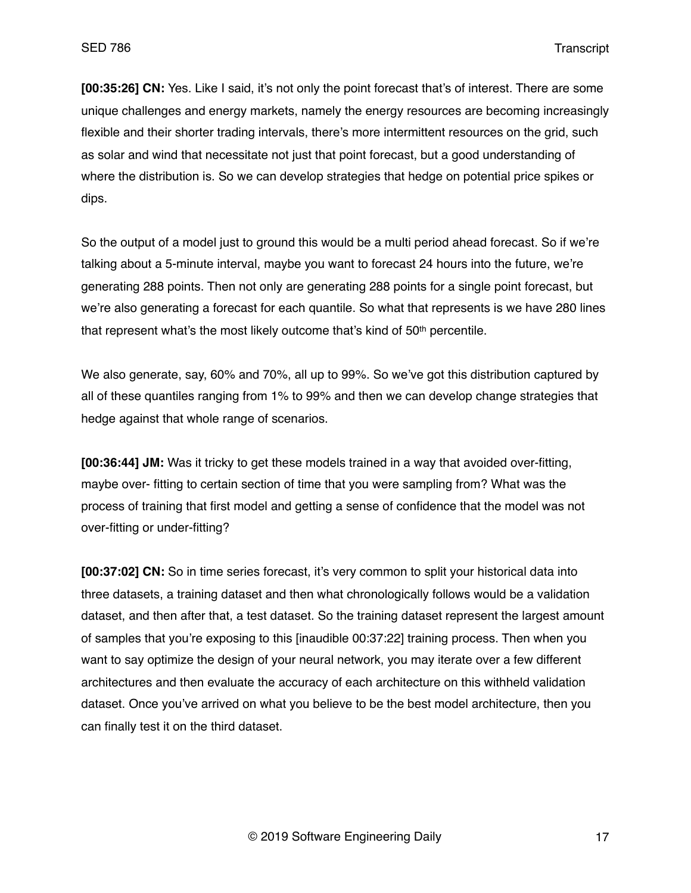**[00:35:26] CN:** Yes. Like I said, it's not only the point forecast that's of interest. There are some unique challenges and energy markets, namely the energy resources are becoming increasingly flexible and their shorter trading intervals, there's more intermittent resources on the grid, such as solar and wind that necessitate not just that point forecast, but a good understanding of where the distribution is. So we can develop strategies that hedge on potential price spikes or dips.

So the output of a model just to ground this would be a multi period ahead forecast. So if we're talking about a 5-minute interval, maybe you want to forecast 24 hours into the future, we're generating 288 points. Then not only are generating 288 points for a single point forecast, but we're also generating a forecast for each quantile. So what that represents is we have 280 lines that represent what's the most likely outcome that's kind of 50<sup>th</sup> percentile.

We also generate, say, 60% and 70%, all up to 99%. So we've got this distribution captured by all of these quantiles ranging from 1% to 99% and then we can develop change strategies that hedge against that whole range of scenarios.

**[00:36:44] JM:** Was it tricky to get these models trained in a way that avoided over-fitting, maybe over- fitting to certain section of time that you were sampling from? What was the process of training that first model and getting a sense of confidence that the model was not over-fitting or under-fitting?

**[00:37:02] CN:** So in time series forecast, it's very common to split your historical data into three datasets, a training dataset and then what chronologically follows would be a validation dataset, and then after that, a test dataset. So the training dataset represent the largest amount of samples that you're exposing to this [inaudible 00:37:22] training process. Then when you want to say optimize the design of your neural network, you may iterate over a few different architectures and then evaluate the accuracy of each architecture on this withheld validation dataset. Once you've arrived on what you believe to be the best model architecture, then you can finally test it on the third dataset.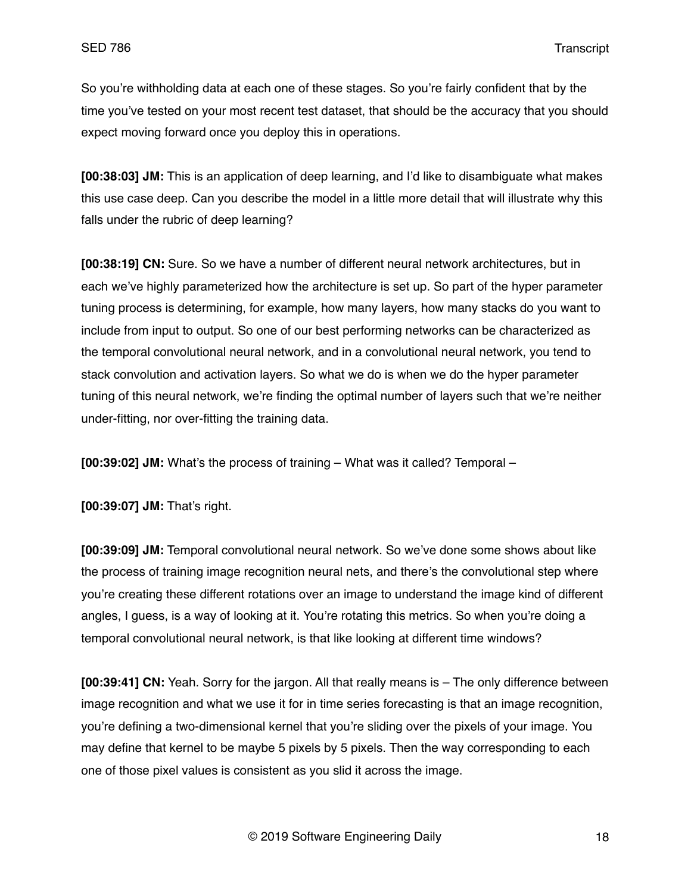So you're withholding data at each one of these stages. So you're fairly confident that by the time you've tested on your most recent test dataset, that should be the accuracy that you should expect moving forward once you deploy this in operations.

**[00:38:03] JM:** This is an application of deep learning, and I'd like to disambiguate what makes this use case deep. Can you describe the model in a little more detail that will illustrate why this falls under the rubric of deep learning?

**[00:38:19] CN:** Sure. So we have a number of different neural network architectures, but in each we've highly parameterized how the architecture is set up. So part of the hyper parameter tuning process is determining, for example, how many layers, how many stacks do you want to include from input to output. So one of our best performing networks can be characterized as the temporal convolutional neural network, and in a convolutional neural network, you tend to stack convolution and activation layers. So what we do is when we do the hyper parameter tuning of this neural network, we're finding the optimal number of layers such that we're neither under-fitting, nor over-fitting the training data.

**[00:39:02] JM:** What's the process of training – What was it called? Temporal –

**[00:39:07] JM:** That's right.

**[00:39:09] JM:** Temporal convolutional neural network. So we've done some shows about like the process of training image recognition neural nets, and there's the convolutional step where you're creating these different rotations over an image to understand the image kind of different angles, I guess, is a way of looking at it. You're rotating this metrics. So when you're doing a temporal convolutional neural network, is that like looking at different time windows?

**[00:39:41] CN:** Yeah. Sorry for the jargon. All that really means is – The only difference between image recognition and what we use it for in time series forecasting is that an image recognition, you're defining a two-dimensional kernel that you're sliding over the pixels of your image. You may define that kernel to be maybe 5 pixels by 5 pixels. Then the way corresponding to each one of those pixel values is consistent as you slid it across the image.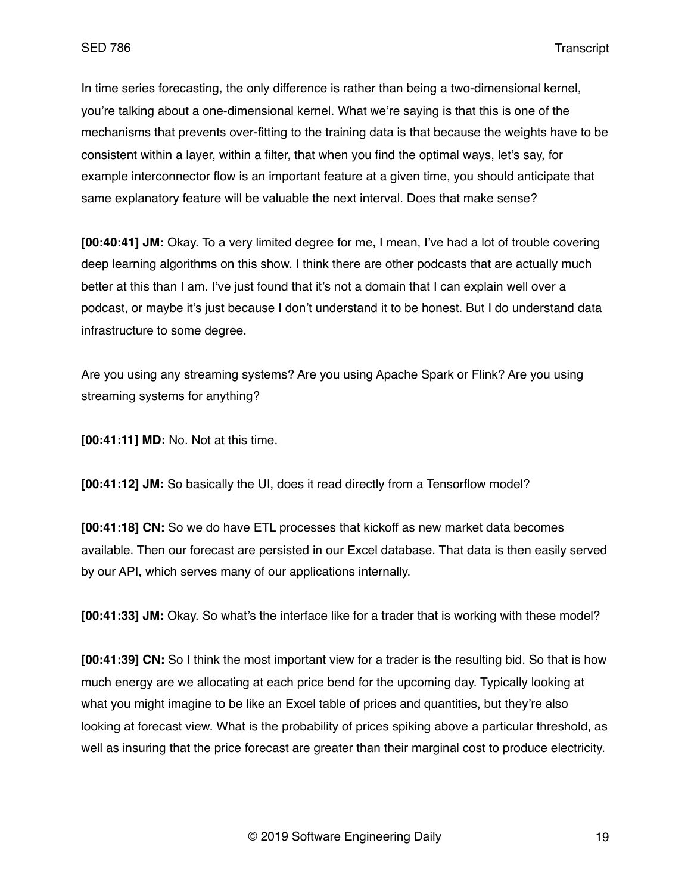In time series forecasting, the only difference is rather than being a two-dimensional kernel, you're talking about a one-dimensional kernel. What we're saying is that this is one of the mechanisms that prevents over-fitting to the training data is that because the weights have to be consistent within a layer, within a filter, that when you find the optimal ways, let's say, for example interconnector flow is an important feature at a given time, you should anticipate that same explanatory feature will be valuable the next interval. Does that make sense?

**[00:40:41] JM:** Okay. To a very limited degree for me, I mean, I've had a lot of trouble covering deep learning algorithms on this show. I think there are other podcasts that are actually much better at this than I am. I've just found that it's not a domain that I can explain well over a podcast, or maybe it's just because I don't understand it to be honest. But I do understand data infrastructure to some degree.

Are you using any streaming systems? Are you using Apache Spark or Flink? Are you using streaming systems for anything?

**[00:41:11] MD:** No. Not at this time.

**[00:41:12] JM:** So basically the UI, does it read directly from a Tensorflow model?

**[00:41:18] CN:** So we do have ETL processes that kickoff as new market data becomes available. Then our forecast are persisted in our Excel database. That data is then easily served by our API, which serves many of our applications internally.

**[00:41:33] JM:** Okay. So what's the interface like for a trader that is working with these model?

**[00:41:39] CN:** So I think the most important view for a trader is the resulting bid. So that is how much energy are we allocating at each price bend for the upcoming day. Typically looking at what you might imagine to be like an Excel table of prices and quantities, but they're also looking at forecast view. What is the probability of prices spiking above a particular threshold, as well as insuring that the price forecast are greater than their marginal cost to produce electricity.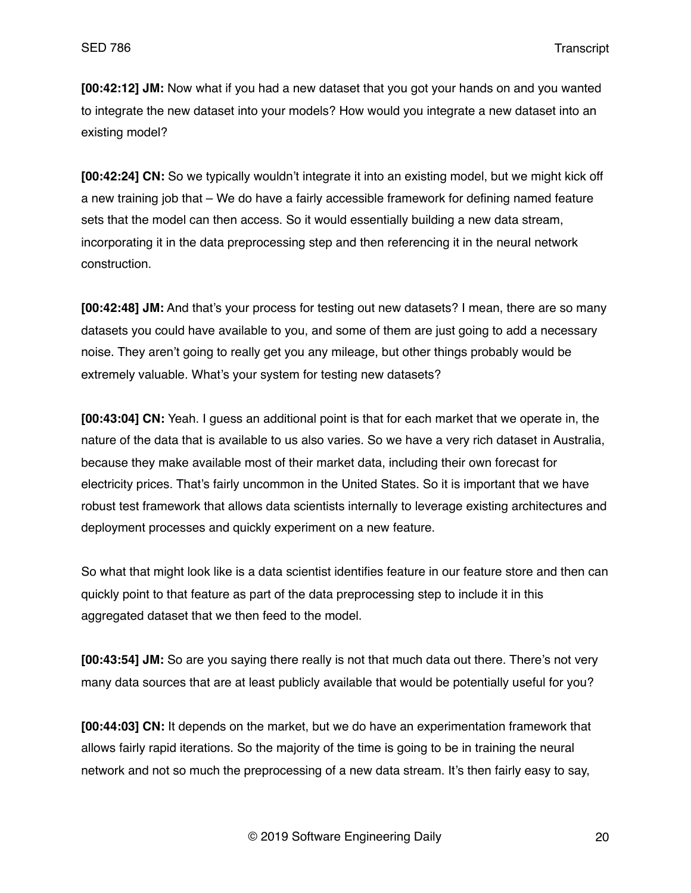**[00:42:12] JM:** Now what if you had a new dataset that you got your hands on and you wanted to integrate the new dataset into your models? How would you integrate a new dataset into an existing model?

**[00:42:24] CN:** So we typically wouldn't integrate it into an existing model, but we might kick off a new training job that – We do have a fairly accessible framework for defining named feature sets that the model can then access. So it would essentially building a new data stream, incorporating it in the data preprocessing step and then referencing it in the neural network construction.

**[00:42:48] JM:** And that's your process for testing out new datasets? I mean, there are so many datasets you could have available to you, and some of them are just going to add a necessary noise. They aren't going to really get you any mileage, but other things probably would be extremely valuable. What's your system for testing new datasets?

**[00:43:04] CN:** Yeah. I guess an additional point is that for each market that we operate in, the nature of the data that is available to us also varies. So we have a very rich dataset in Australia, because they make available most of their market data, including their own forecast for electricity prices. That's fairly uncommon in the United States. So it is important that we have robust test framework that allows data scientists internally to leverage existing architectures and deployment processes and quickly experiment on a new feature.

So what that might look like is a data scientist identifies feature in our feature store and then can quickly point to that feature as part of the data preprocessing step to include it in this aggregated dataset that we then feed to the model.

**[00:43:54] JM:** So are you saying there really is not that much data out there. There's not very many data sources that are at least publicly available that would be potentially useful for you?

**[00:44:03] CN:** It depends on the market, but we do have an experimentation framework that allows fairly rapid iterations. So the majority of the time is going to be in training the neural network and not so much the preprocessing of a new data stream. It's then fairly easy to say,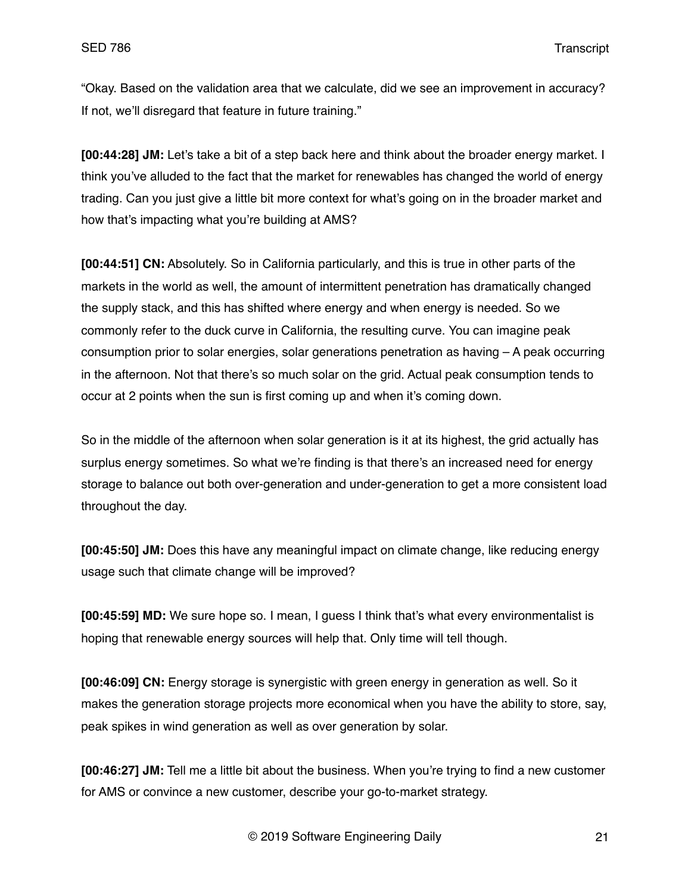"Okay. Based on the validation area that we calculate, did we see an improvement in accuracy? If not, we'll disregard that feature in future training."

**[00:44:28] JM:** Let's take a bit of a step back here and think about the broader energy market. I think you've alluded to the fact that the market for renewables has changed the world of energy trading. Can you just give a little bit more context for what's going on in the broader market and how that's impacting what you're building at AMS?

**[00:44:51] CN:** Absolutely. So in California particularly, and this is true in other parts of the markets in the world as well, the amount of intermittent penetration has dramatically changed the supply stack, and this has shifted where energy and when energy is needed. So we commonly refer to the duck curve in California, the resulting curve. You can imagine peak consumption prior to solar energies, solar generations penetration as having – A peak occurring in the afternoon. Not that there's so much solar on the grid. Actual peak consumption tends to occur at 2 points when the sun is first coming up and when it's coming down.

So in the middle of the afternoon when solar generation is it at its highest, the grid actually has surplus energy sometimes. So what we're finding is that there's an increased need for energy storage to balance out both over-generation and under-generation to get a more consistent load throughout the day.

**[00:45:50] JM:** Does this have any meaningful impact on climate change, like reducing energy usage such that climate change will be improved?

**[00:45:59] MD:** We sure hope so. I mean, I guess I think that's what every environmentalist is hoping that renewable energy sources will help that. Only time will tell though.

**[00:46:09] CN:** Energy storage is synergistic with green energy in generation as well. So it makes the generation storage projects more economical when you have the ability to store, say, peak spikes in wind generation as well as over generation by solar.

**[00:46:27] JM:** Tell me a little bit about the business. When you're trying to find a new customer for AMS or convince a new customer, describe your go-to-market strategy.

© 2019 Software Engineering Daily 21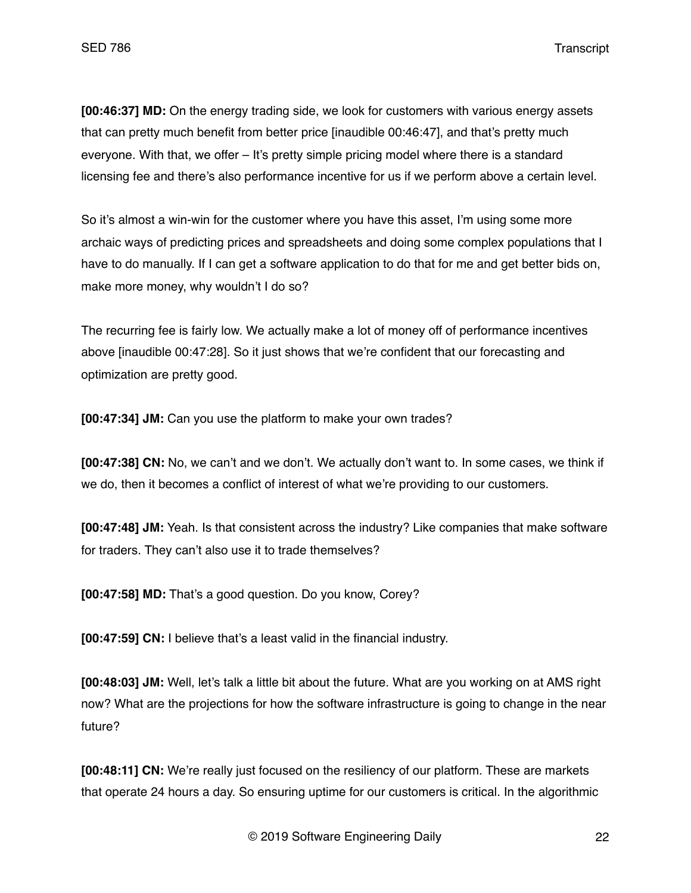**[00:46:37] MD:** On the energy trading side, we look for customers with various energy assets that can pretty much benefit from better price [inaudible 00:46:47], and that's pretty much everyone. With that, we offer – It's pretty simple pricing model where there is a standard licensing fee and there's also performance incentive for us if we perform above a certain level.

So it's almost a win-win for the customer where you have this asset, I'm using some more archaic ways of predicting prices and spreadsheets and doing some complex populations that I have to do manually. If I can get a software application to do that for me and get better bids on, make more money, why wouldn't I do so?

The recurring fee is fairly low. We actually make a lot of money off of performance incentives above [inaudible 00:47:28]. So it just shows that we're confident that our forecasting and optimization are pretty good.

**[00:47:34] JM:** Can you use the platform to make your own trades?

**[00:47:38] CN:** No, we can't and we don't. We actually don't want to. In some cases, we think if we do, then it becomes a conflict of interest of what we're providing to our customers.

**[00:47:48] JM:** Yeah. Is that consistent across the industry? Like companies that make software for traders. They can't also use it to trade themselves?

**[00:47:58] MD:** That's a good question. Do you know, Corey?

**[00:47:59] CN:** I believe that's a least valid in the financial industry.

**[00:48:03] JM:** Well, let's talk a little bit about the future. What are you working on at AMS right now? What are the projections for how the software infrastructure is going to change in the near future?

**[00:48:11] CN:** We're really just focused on the resiliency of our platform. These are markets that operate 24 hours a day. So ensuring uptime for our customers is critical. In the algorithmic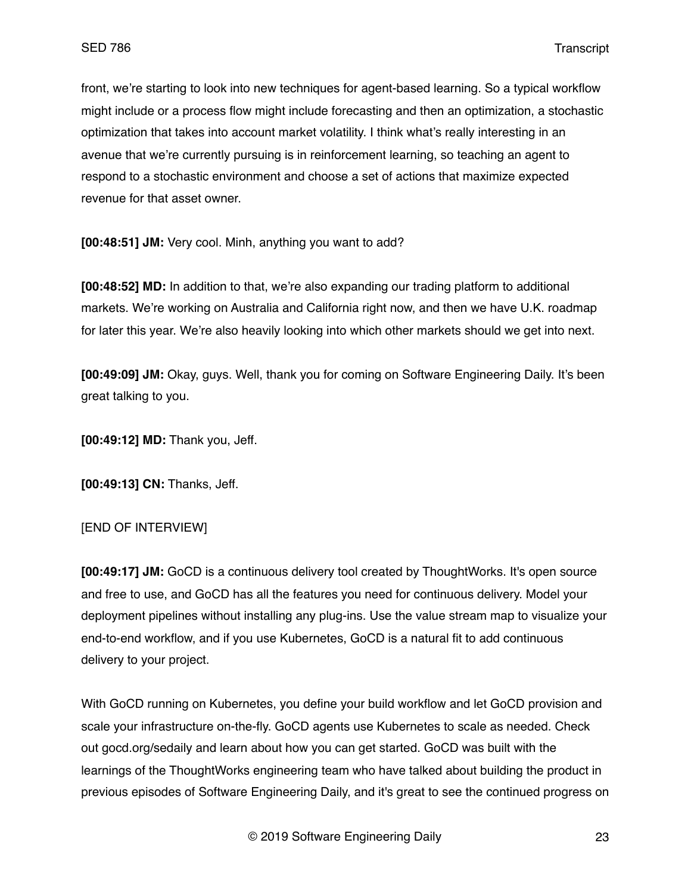front, we're starting to look into new techniques for agent-based learning. So a typical workflow might include or a process flow might include forecasting and then an optimization, a stochastic optimization that takes into account market volatility. I think what's really interesting in an avenue that we're currently pursuing is in reinforcement learning, so teaching an agent to respond to a stochastic environment and choose a set of actions that maximize expected revenue for that asset owner.

**[00:48:51] JM:** Very cool. Minh, anything you want to add?

**[00:48:52] MD:** In addition to that, we're also expanding our trading platform to additional markets. We're working on Australia and California right now, and then we have U.K. roadmap for later this year. We're also heavily looking into which other markets should we get into next.

**[00:49:09] JM:** Okay, guys. Well, thank you for coming on Software Engineering Daily. It's been great talking to you.

**[00:49:12] MD:** Thank you, Jeff.

**[00:49:13] CN:** Thanks, Jeff.

## [END OF INTERVIEW]

**[00:49:17] JM:** GoCD is a continuous delivery tool created by ThoughtWorks. It's open source and free to use, and GoCD has all the features you need for continuous delivery. Model your deployment pipelines without installing any plug-ins. Use the value stream map to visualize your end-to-end workflow, and if you use Kubernetes, GoCD is a natural fit to add continuous delivery to your project.

With GoCD running on Kubernetes, you define your build workflow and let GoCD provision and scale your infrastructure on-the-fly. GoCD agents use Kubernetes to scale as needed. Check out gocd.org/sedaily and learn about how you can get started. GoCD was built with the learnings of the ThoughtWorks engineering team who have talked about building the product in previous episodes of Software Engineering Daily, and it's great to see the continued progress on